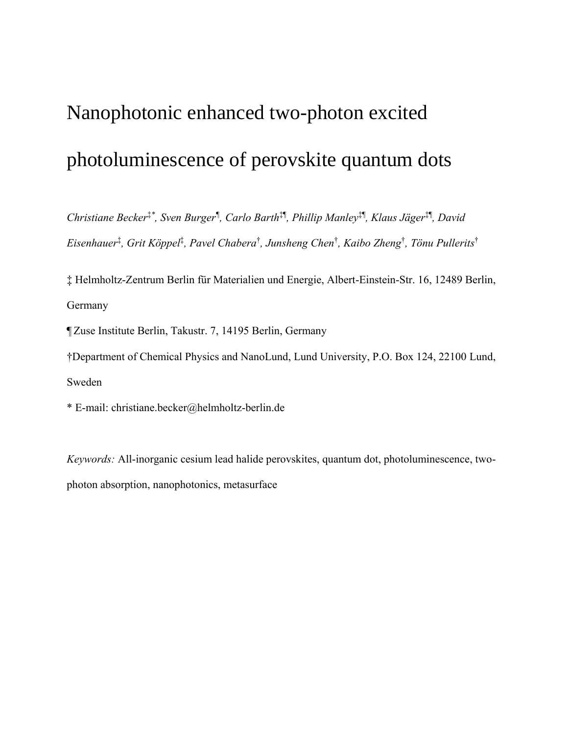# Nanophotonic enhanced two-photon excited photoluminescence of perovskite quantum dots

*Christiane Becker*‡*\* , Sven Burger¶ , Carlo Barth*‡¶ *, Phillip Manley*‡¶ *, Klaus Jäger*‡¶ *, David Eisenhauer*‡ *, Grit Köppel*‡ *, Pavel Chabera*† *, Junsheng Chen*† *, Kaibo Zheng*† *, Tönu Pullerits*†

‡ Helmholtz-Zentrum Berlin für Materialien und Energie, Albert-Einstein-Str. 16, 12489 Berlin, Germany

¶ Zuse Institute Berlin, Takustr. 7, 14195 Berlin, Germany

†Department of Chemical Physics and NanoLund, Lund University, P.O. Box 124, 22100 Lund, Sweden

\* E-mail: christiane.becker@helmholtz-berlin.de

*Keywords:* All-inorganic cesium lead halide perovskites, quantum dot, photoluminescence, twophoton absorption, nanophotonics, metasurface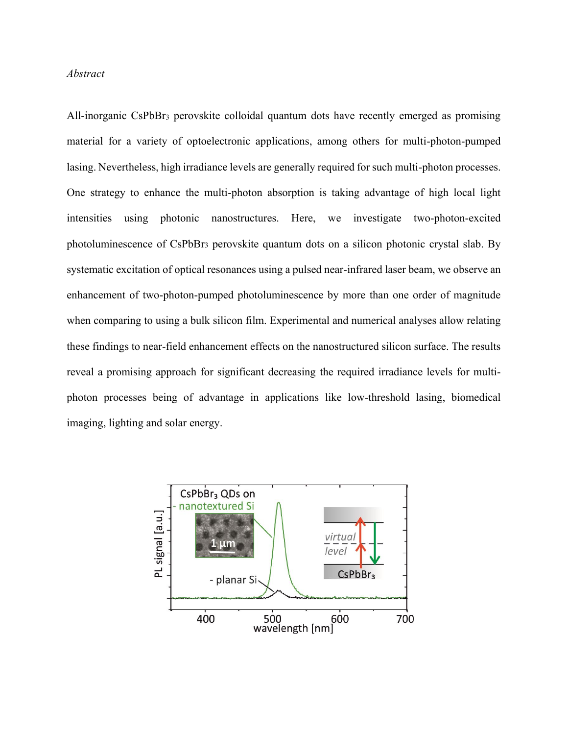## *Abstract*

All-inorganic CsPbBr<sup>3</sup> perovskite colloidal quantum dots have recently emerged as promising material for a variety of optoelectronic applications, among others for multi-photon-pumped lasing. Nevertheless, high irradiance levels are generally required for such multi-photon processes. One strategy to enhance the multi-photon absorption is taking advantage of high local light intensities using photonic nanostructures. Here, we investigate two-photon-excited photoluminescence of CsPbBr<sup>3</sup> perovskite quantum dots on a silicon photonic crystal slab. By systematic excitation of optical resonances using a pulsed near-infrared laser beam, we observe an enhancement of two-photon-pumped photoluminescence by more than one order of magnitude when comparing to using a bulk silicon film. Experimental and numerical analyses allow relating these findings to near-field enhancement effects on the nanostructured silicon surface. The results reveal a promising approach for significant decreasing the required irradiance levels for multiphoton processes being of advantage in applications like low-threshold lasing, biomedical imaging, lighting and solar energy.

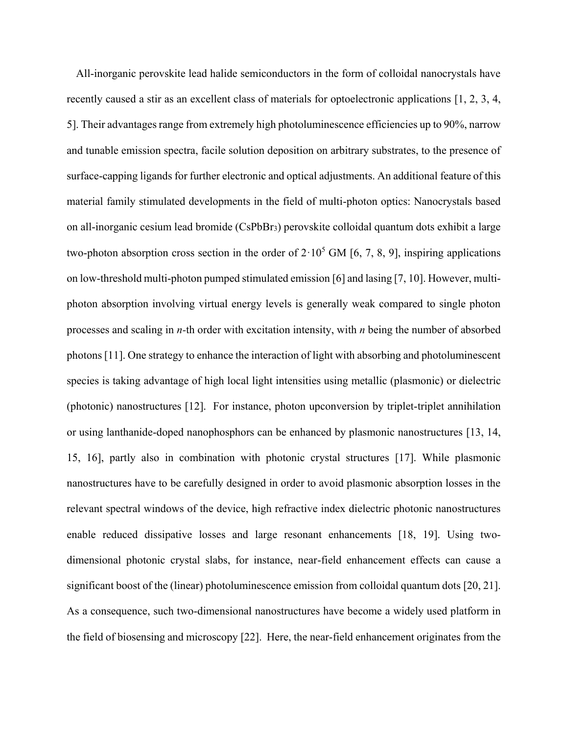All-inorganic perovskite lead halide semiconductors in the form of colloidal nanocrystals have recently caused a stir as an excellent class of materials for optoelectronic applications [1, 2, 3, 4, 5]. Their advantages range from extremely high photoluminescence efficiencies up to 90%, narrow and tunable emission spectra, facile solution deposition on arbitrary substrates, to the presence of surface-capping ligands for further electronic and optical adjustments. An additional feature of this material family stimulated developments in the field of multi-photon optics: Nanocrystals based on all-inorganic cesium lead bromide (CsPbBr3) perovskite colloidal quantum dots exhibit a large two-photon absorption cross section in the order of  $2.10^5$  GM [6, 7, 8, 9], inspiring applications on low-threshold multi-photon pumped stimulated emission [6] and lasing [7, 10]. However, multiphoton absorption involving virtual energy levels is generally weak compared to single photon processes and scaling in *n-*th order with excitation intensity, with *n* being the number of absorbed photons [11]. One strategy to enhance the interaction of light with absorbing and photoluminescent species is taking advantage of high local light intensities using metallic (plasmonic) or dielectric (photonic) nanostructures [12]. For instance, photon upconversion by triplet-triplet annihilation or using lanthanide-doped nanophosphors can be enhanced by plasmonic nanostructures [13, 14, 15, 16], partly also in combination with photonic crystal structures [17]. While plasmonic nanostructures have to be carefully designed in order to avoid plasmonic absorption losses in the relevant spectral windows of the device, high refractive index dielectric photonic nanostructures enable reduced dissipative losses and large resonant enhancements [18, 19]. Using twodimensional photonic crystal slabs, for instance, near-field enhancement effects can cause a significant boost of the (linear) photoluminescence emission from colloidal quantum dots [20, 21]. As a consequence, such two-dimensional nanostructures have become a widely used platform in the field of biosensing and microscopy [22]. Here, the near-field enhancement originates from the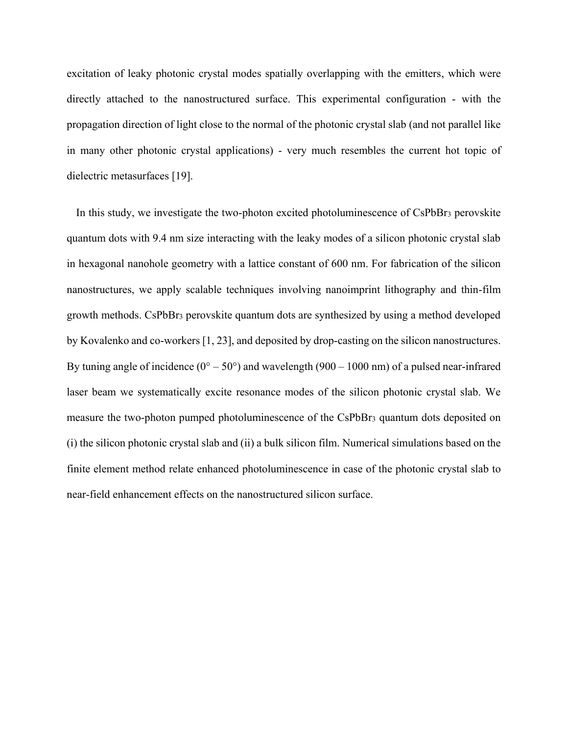excitation of leaky photonic crystal modes spatially overlapping with the emitters, which were directly attached to the nanostructured surface. This experimental configuration - with the propagation direction of light close to the normal of the photonic crystal slab (and not parallel like in many other photonic crystal applications) - very much resembles the current hot topic of dielectric metasurfaces [19].

In this study, we investigate the two-photon excited photoluminescence of CsPbBr<sub>3</sub> perovskite quantum dots with 9.4 nm size interacting with the leaky modes of a silicon photonic crystal slab in hexagonal nanohole geometry with a lattice constant of 600 nm. For fabrication of the silicon nanostructures, we apply scalable techniques involving nanoimprint lithography and thin-film growth methods. CsPbBr<sup>3</sup> perovskite quantum dots are synthesized by using a method developed by Kovalenko and co-workers [1, 23], and deposited by drop-casting on the silicon nanostructures. By tuning angle of incidence  $(0^{\circ} - 50^{\circ})$  and wavelength  $(900 - 1000 \text{ nm})$  of a pulsed near-infrared laser beam we systematically excite resonance modes of the silicon photonic crystal slab. We measure the two-photon pumped photoluminescence of the CsPbBr<sup>3</sup> quantum dots deposited on (i) the silicon photonic crystal slab and (ii) a bulk silicon film. Numerical simulations based on the finite element method relate enhanced photoluminescence in case of the photonic crystal slab to near-field enhancement effects on the nanostructured silicon surface.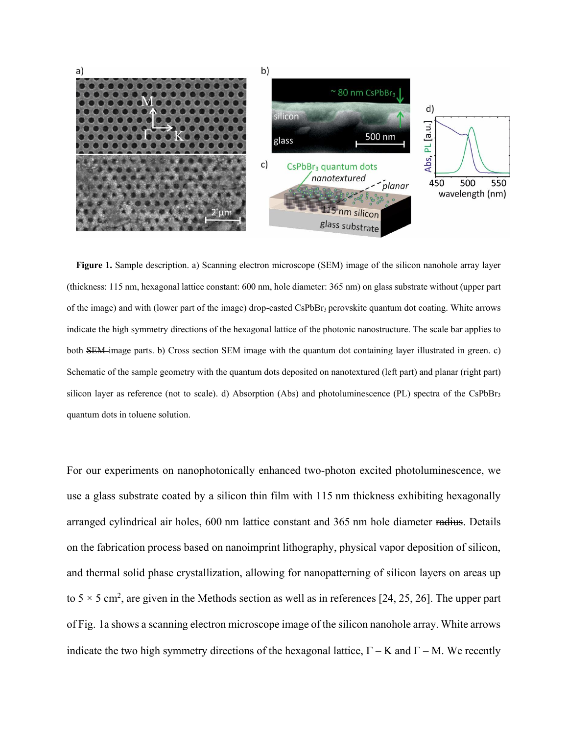

**Figure 1.** Sample description. a) Scanning electron microscope (SEM) image of the silicon nanohole array layer (thickness: 115 nm, hexagonal lattice constant: 600 nm, hole diameter: 365 nm) on glass substrate without (upper part of the image) and with (lower part of the image) drop-casted CsPbBr3 perovskite quantum dot coating. White arrows indicate the high symmetry directions of the hexagonal lattice of the photonic nanostructure. The scale bar applies to both SEM image parts. b) Cross section SEM image with the quantum dot containing layer illustrated in green. c) Schematic of the sample geometry with the quantum dots deposited on nanotextured (left part) and planar (right part) silicon layer as reference (not to scale). d) Absorption (Abs) and photoluminescence (PL) spectra of the CsPbBr<sub>3</sub> quantum dots in toluene solution.

For our experiments on nanophotonically enhanced two-photon excited photoluminescence, we use a glass substrate coated by a silicon thin film with 115 nm thickness exhibiting hexagonally arranged cylindrical air holes, 600 nm lattice constant and 365 nm hole diameter radius. Details on the fabrication process based on nanoimprint lithography, physical vapor deposition of silicon, and thermal solid phase crystallization, allowing for nanopatterning of silicon layers on areas up to  $5 \times 5$  cm<sup>2</sup>, are given in the Methods section as well as in references [24, 25, 26]. The upper part of Fig. 1a shows a scanning electron microscope image of the silicon nanohole array. White arrows indicate the two high symmetry directions of the hexagonal lattice,  $\Gamma$  – K and  $\Gamma$  – M. We recently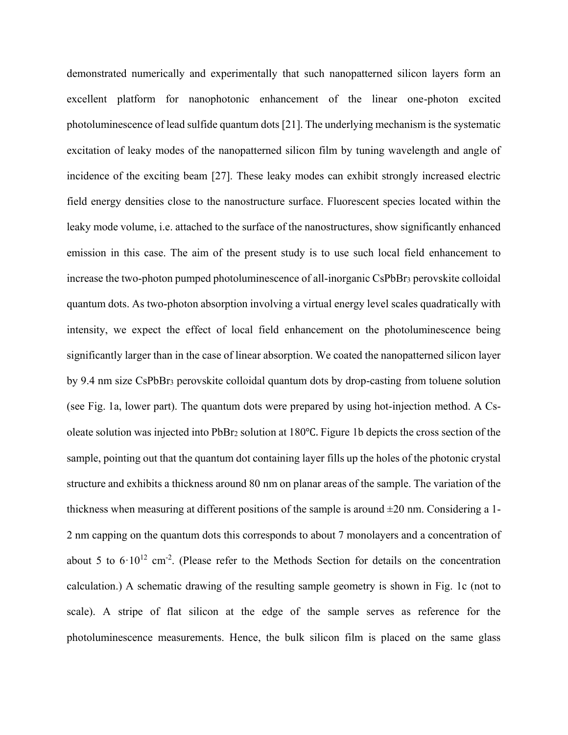demonstrated numerically and experimentally that such nanopatterned silicon layers form an excellent platform for nanophotonic enhancement of the linear one-photon excited photoluminescence of lead sulfide quantum dots [21]. The underlying mechanism is the systematic excitation of leaky modes of the nanopatterned silicon film by tuning wavelength and angle of incidence of the exciting beam [27]. These leaky modes can exhibit strongly increased electric field energy densities close to the nanostructure surface. Fluorescent species located within the leaky mode volume, i.e. attached to the surface of the nanostructures, show significantly enhanced emission in this case. The aim of the present study is to use such local field enhancement to increase the two-photon pumped photoluminescence of all-inorganic CsPbBr<sub>3</sub> perovskite colloidal quantum dots. As two-photon absorption involving a virtual energy level scales quadratically with intensity, we expect the effect of local field enhancement on the photoluminescence being significantly larger than in the case of linear absorption. We coated the nanopatterned silicon layer by 9.4 nm size CsPbBr<sup>3</sup> perovskite colloidal quantum dots by drop-casting from toluene solution (see Fig. 1a, lower part). The quantum dots were prepared by using hot-injection method. A Csoleate solution was injected into PbBr<sup>2</sup> solution at 180℃. Figure 1b depicts the cross section of the sample, pointing out that the quantum dot containing layer fills up the holes of the photonic crystal structure and exhibits a thickness around 80 nm on planar areas of the sample. The variation of the thickness when measuring at different positions of the sample is around  $\pm 20$  nm. Considering a 1-2 nm capping on the quantum dots this corresponds to about 7 monolayers and a concentration of about 5 to  $6 \cdot 10^{12}$  cm<sup>-2</sup>. (Please refer to the Methods Section for details on the concentration calculation.) A schematic drawing of the resulting sample geometry is shown in Fig. 1c (not to scale). A stripe of flat silicon at the edge of the sample serves as reference for the photoluminescence measurements. Hence, the bulk silicon film is placed on the same glass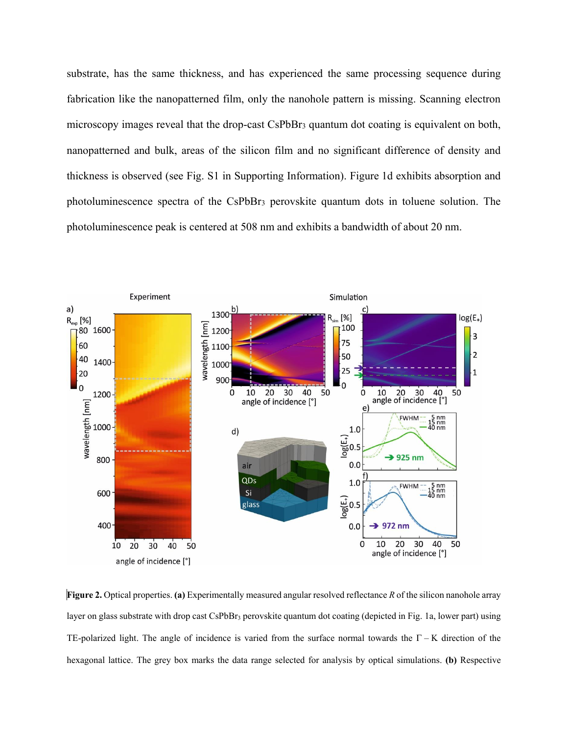substrate, has the same thickness, and has experienced the same processing sequence during fabrication like the nanopatterned film, only the nanohole pattern is missing. Scanning electron microscopy images reveal that the drop-cast CsPbBr<sup>3</sup> quantum dot coating is equivalent on both, nanopatterned and bulk, areas of the silicon film and no significant difference of density and thickness is observed (see Fig. S1 in Supporting Information). Figure 1d exhibits absorption and photoluminescence spectra of the CsPbBr<sup>3</sup> perovskite quantum dots in toluene solution. The photoluminescence peak is centered at 508 nm and exhibits a bandwidth of about 20 nm.



**Figure 2.** Optical properties. **(a)** Experimentally measured angular resolved reflectance *R* of the silicon nanohole array layer on glass substrate with drop cast CsPbBr<sub>3</sub> perovskite quantum dot coating (depicted in Fig. 1a, lower part) using TE-polarized light. The angle of incidence is varied from the surface normal towards the  $\Gamma - K$  direction of the hexagonal lattice. The grey box marks the data range selected for analysis by optical simulations. **(b)** Respective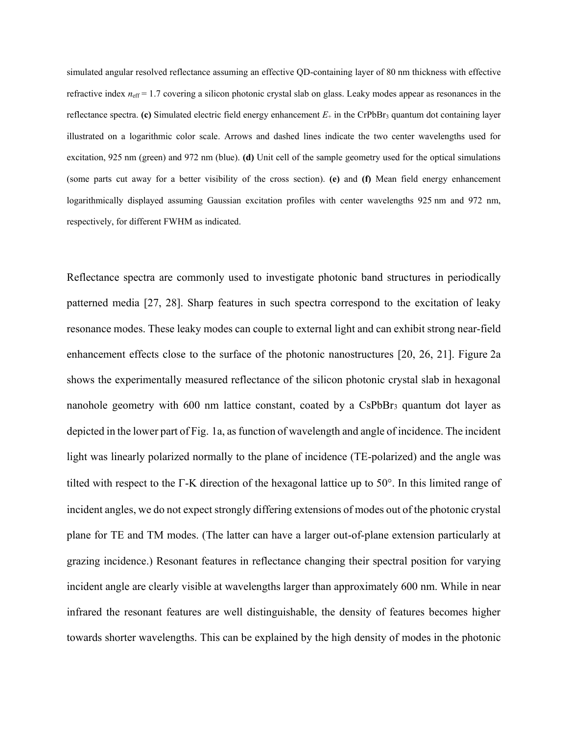simulated angular resolved reflectance assuming an effective QD-containing layer of 80 nm thickness with effective refractive index  $n_{\text{eff}}$  = 1.7 covering a silicon photonic crystal slab on glass. Leaky modes appear as resonances in the reflectance spectra. **(c)** Simulated electric field energy enhancement  $E_{+}$  in the CrPbBr<sub>3</sub> quantum dot containing layer illustrated on a logarithmic color scale. Arrows and dashed lines indicate the two center wavelengths used for excitation, 925 nm (green) and 972 nm (blue). **(d)** Unit cell of the sample geometry used for the optical simulations (some parts cut away for a better visibility of the cross section). **(e)** and **(f)** Mean field energy enhancement logarithmically displayed assuming Gaussian excitation profiles with center wavelengths 925 nm and 972 nm, respectively, for different FWHM as indicated.

Reflectance spectra are commonly used to investigate photonic band structures in periodically patterned media [27, 28]. Sharp features in such spectra correspond to the excitation of leaky resonance modes. These leaky modes can couple to external light and can exhibit strong near-field enhancement effects close to the surface of the photonic nanostructures [20, 26, 21]. Figure 2a shows the experimentally measured reflectance of the silicon photonic crystal slab in hexagonal nanohole geometry with 600 nm lattice constant, coated by a CsPbBr<sub>3</sub> quantum dot layer as depicted in the lower part of Fig. 1a, as function of wavelength and angle of incidence. The incident light was linearly polarized normally to the plane of incidence (TE-polarized) and the angle was tilted with respect to the  $\Gamma$ -K direction of the hexagonal lattice up to 50 $\degree$ . In this limited range of incident angles, we do not expect strongly differing extensions of modes out of the photonic crystal plane for TE and TM modes. (The latter can have a larger out-of-plane extension particularly at grazing incidence.) Resonant features in reflectance changing their spectral position for varying incident angle are clearly visible at wavelengths larger than approximately 600 nm. While in near infrared the resonant features are well distinguishable, the density of features becomes higher towards shorter wavelengths. This can be explained by the high density of modes in the photonic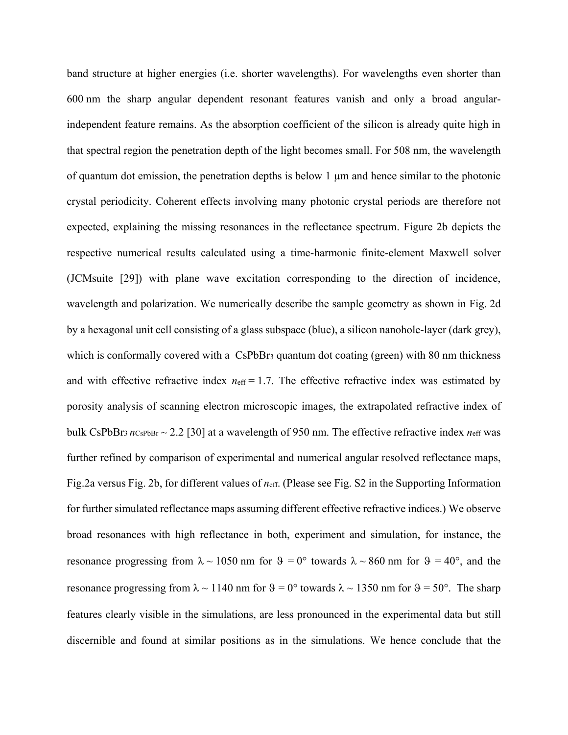band structure at higher energies (i.e. shorter wavelengths). For wavelengths even shorter than 600 nm the sharp angular dependent resonant features vanish and only a broad angularindependent feature remains. As the absorption coefficient of the silicon is already quite high in that spectral region the penetration depth of the light becomes small. For 508 nm, the wavelength of quantum dot emission, the penetration depths is below 1 µm and hence similar to the photonic crystal periodicity. Coherent effects involving many photonic crystal periods are therefore not expected, explaining the missing resonances in the reflectance spectrum. Figure 2b depicts the respective numerical results calculated using a time-harmonic finite-element Maxwell solver (JCMsuite [29]) with plane wave excitation corresponding to the direction of incidence, wavelength and polarization. We numerically describe the sample geometry as shown in Fig. 2d by a hexagonal unit cell consisting of a glass subspace (blue), a silicon nanohole-layer (dark grey), which is conformally covered with a CsPbBr<sub>3</sub> quantum dot coating (green) with 80 nm thickness and with effective refractive index  $n_{\text{eff}} = 1.7$ . The effective refractive index was estimated by porosity analysis of scanning electron microscopic images, the extrapolated refractive index of bulk CsPbBr<sub>3</sub>  $n_{\text{CsPbBr}} \sim 2.2$  [30] at a wavelength of 950 nm. The effective refractive index  $n_{\text{eff}}$  was further refined by comparison of experimental and numerical angular resolved reflectance maps, Fig.2a versus Fig. 2b, for different values of *n*eff. (Please see Fig. S2 in the Supporting Information for further simulated reflectance maps assuming different effective refractive indices.) We observe broad resonances with high reflectance in both, experiment and simulation, for instance, the resonance progressing from  $\lambda \sim 1050$  nm for  $\theta = 0^{\circ}$  towards  $\lambda \sim 860$  nm for  $\theta = 40^{\circ}$ , and the resonance progressing from  $\lambda \sim 1140$  nm for  $\theta = 0^{\circ}$  towards  $\lambda \sim 1350$  nm for  $\theta = 50^{\circ}$ . The sharp features clearly visible in the simulations, are less pronounced in the experimental data but still discernible and found at similar positions as in the simulations. We hence conclude that the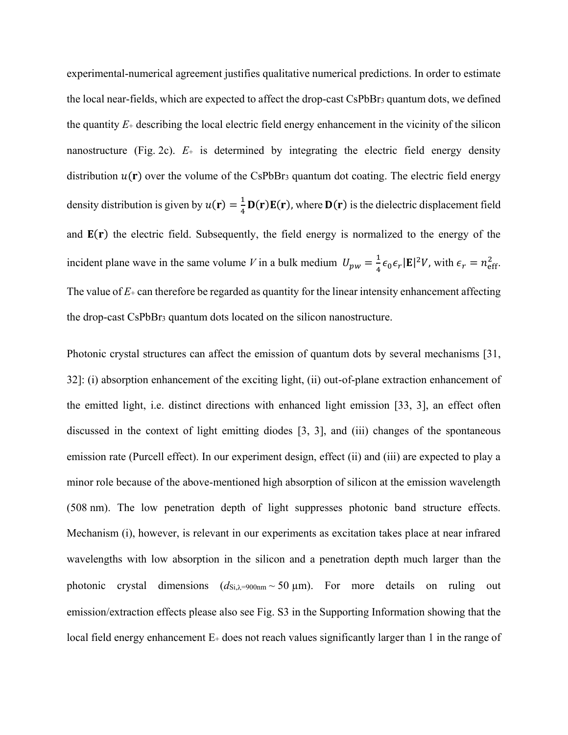experimental-numerical agreement justifies qualitative numerical predictions. In order to estimate the local near-fields, which are expected to affect the drop-cast CsPbBr<sup>3</sup> quantum dots, we defined the quantity  $E_{\pm}$  describing the local electric field energy enhancement in the vicinity of the silicon nanostructure (Fig. 2c).  $E_{+}$  is determined by integrating the electric field energy density distribution  $u(\mathbf{r})$  over the volume of the CsPbBr<sub>3</sub> quantum dot coating. The electric field energy density distribution is given by  $u(\mathbf{r}) = \frac{1}{4}$  $\frac{1}{4}$  **D(r)E(r)**, where **D(r)** is the dielectric displacement field and  $E(r)$  the electric field. Subsequently, the field energy is normalized to the energy of the incident plane wave in the same volume V in a bulk medium  $U_{pw} = \frac{1}{4}$  $\frac{1}{4} \epsilon_0 \epsilon_r |\mathbf{E}|^2 V$ , with  $\epsilon_r = n_{\text{eff}}^2$ . The value of *E*<sup>+</sup> can therefore be regarded as quantity for the linear intensity enhancement affecting the drop-cast CsPbBr<sup>3</sup> quantum dots located on the silicon nanostructure.

Photonic crystal structures can affect the emission of quantum dots by several mechanisms [31, 32]: (i) absorption enhancement of the exciting light, (ii) out-of-plane extraction enhancement of the emitted light, i.e. distinct directions with enhanced light emission [33, 3], an effect often discussed in the context of light emitting diodes [3, 3], and (iii) changes of the spontaneous emission rate (Purcell effect). In our experiment design, effect (ii) and (iii) are expected to play a minor role because of the above-mentioned high absorption of silicon at the emission wavelength (508 nm). The low penetration depth of light suppresses photonic band structure effects. Mechanism (i), however, is relevant in our experiments as excitation takes place at near infrared wavelengths with low absorption in the silicon and a penetration depth much larger than the photonic crystal dimensions  $(d_{\text{Si},\lambda=900nm} \sim 50 \,\mu\text{m})$ . For more details on ruling out emission/extraction effects please also see Fig. S3 in the Supporting Information showing that the local field energy enhancement E+ does not reach values significantly larger than 1 in the range of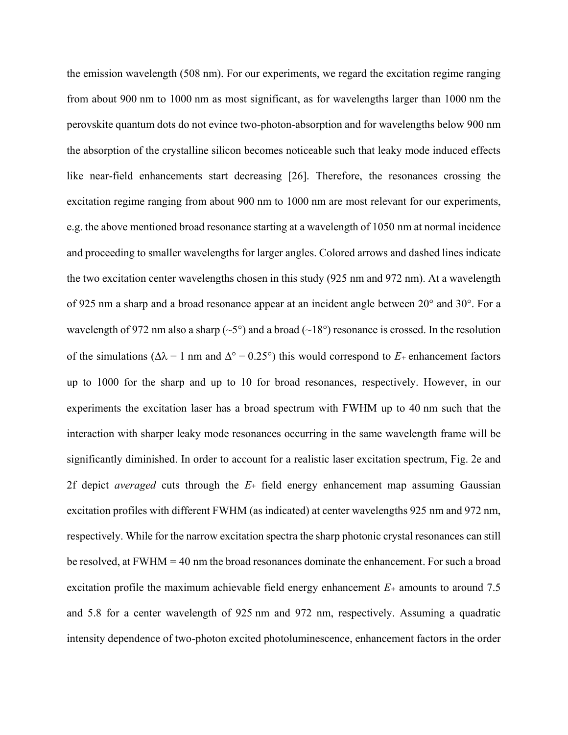the emission wavelength (508 nm). For our experiments, we regard the excitation regime ranging from about 900 nm to 1000 nm as most significant, as for wavelengths larger than 1000 nm the perovskite quantum dots do not evince two-photon-absorption and for wavelengths below 900 nm the absorption of the crystalline silicon becomes noticeable such that leaky mode induced effects like near-field enhancements start decreasing [26]. Therefore, the resonances crossing the excitation regime ranging from about 900 nm to 1000 nm are most relevant for our experiments, e.g. the above mentioned broad resonance starting at a wavelength of 1050 nm at normal incidence and proceeding to smaller wavelengths for larger angles. Colored arrows and dashed lines indicate the two excitation center wavelengths chosen in this study (925 nm and 972 nm). At a wavelength of 925 nm a sharp and a broad resonance appear at an incident angle between 20° and 30°. For a wavelength of 972 nm also a sharp ( $\sim$ 5°) and a broad ( $\sim$ 18°) resonance is crossed. In the resolution of the simulations ( $\Delta \lambda = 1$  nm and  $\Delta^{\circ} = 0.25^{\circ}$ ) this would correspond to  $E_{+}$  enhancement factors up to 1000 for the sharp and up to 10 for broad resonances, respectively. However, in our experiments the excitation laser has a broad spectrum with FWHM up to 40 nm such that the interaction with sharper leaky mode resonances occurring in the same wavelength frame will be significantly diminished. In order to account for a realistic laser excitation spectrum, Fig. 2e and 2f depict *averaged* cuts through the *E*<sup>+</sup> field energy enhancement map assuming Gaussian excitation profiles with different FWHM (as indicated) at center wavelengths 925 nm and 972 nm, respectively. While for the narrow excitation spectra the sharp photonic crystal resonances can still be resolved, at FWHM = 40 nm the broad resonances dominate the enhancement. For such a broad excitation profile the maximum achievable field energy enhancement *E<sup>+</sup>* amounts to around 7.5 and 5.8 for a center wavelength of 925 nm and 972 nm, respectively. Assuming a quadratic intensity dependence of two-photon excited photoluminescence, enhancement factors in the order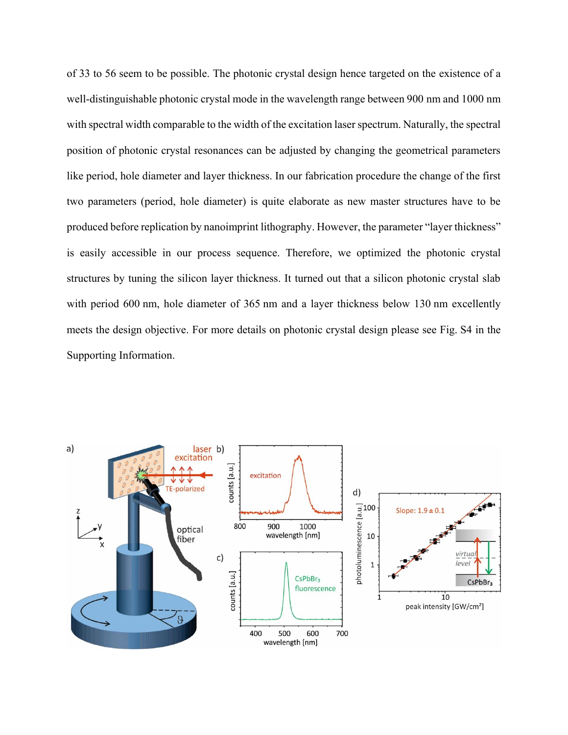of 33 to 56 seem to be possible. The photonic crystal design hence targeted on the existence of a well-distinguishable photonic crystal mode in the wavelength range between 900 nm and 1000 nm with spectral width comparable to the width of the excitation laser spectrum. Naturally, the spectral position of photonic crystal resonances can be adjusted by changing the geometrical parameters like period, hole diameter and layer thickness. In our fabrication procedure the change of the first two parameters (period, hole diameter) is quite elaborate as new master structures have to be produced before replication by nanoimprint lithography. However, the parameter "layer thickness" is easily accessible in our process sequence. Therefore, we optimized the photonic crystal structures by tuning the silicon layer thickness. It turned out that a silicon photonic crystal slab with period 600 nm, hole diameter of 365 nm and a layer thickness below 130 nm excellently meets the design objective. For more details on photonic crystal design please see Fig. S4 in the Supporting Information.

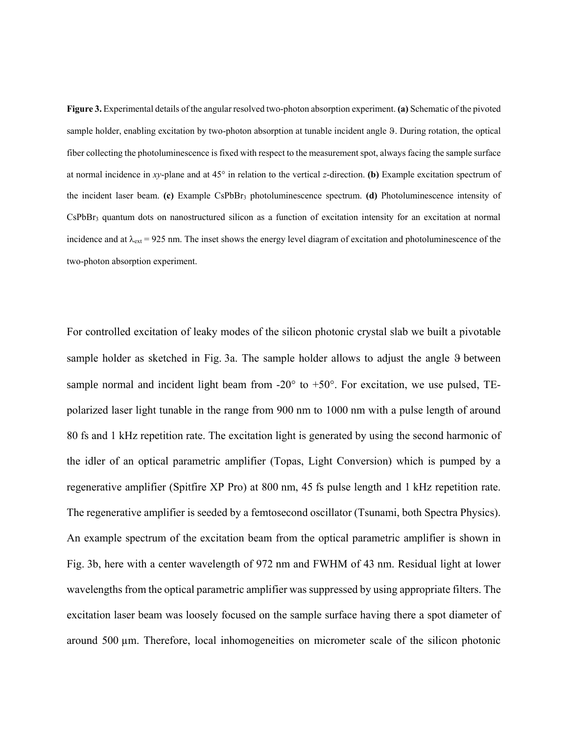**Figure 3.** Experimental details of the angular resolved two-photon absorption experiment. **(a)** Schematic of the pivoted sample holder, enabling excitation by two-photon absorption at tunable incident angle 9. During rotation, the optical fiber collecting the photoluminescence is fixed with respect to the measurement spot, always facing the sample surface at normal incidence in *xy*-plane and at 45° in relation to the vertical *z*-direction. **(b)** Example excitation spectrum of the incident laser beam. **(c)** Example CsPbBr<sup>3</sup> photoluminescence spectrum. **(d)** Photoluminescence intensity of  $CsPbBr<sub>3</sub>$  quantum dots on nanostructured silicon as a function of excitation intensity for an excitation at normal incidence and at  $\lambda_{ext}$  = 925 nm. The inset shows the energy level diagram of excitation and photoluminescence of the two-photon absorption experiment.

For controlled excitation of leaky modes of the silicon photonic crystal slab we built a pivotable sample holder as sketched in Fig. 3a. The sample holder allows to adjust the angle 9 between sample normal and incident light beam from  $-20^{\circ}$  to  $+50^{\circ}$ . For excitation, we use pulsed, TEpolarized laser light tunable in the range from 900 nm to 1000 nm with a pulse length of around 80 fs and 1 kHz repetition rate. The excitation light is generated by using the second harmonic of the idler of an optical parametric amplifier (Topas, Light Conversion) which is pumped by a regenerative amplifier (Spitfire XP Pro) at 800 nm, 45 fs pulse length and 1 kHz repetition rate. The regenerative amplifier is seeded by a femtosecond oscillator (Tsunami, both Spectra Physics). An example spectrum of the excitation beam from the optical parametric amplifier is shown in Fig. 3b, here with a center wavelength of 972 nm and FWHM of 43 nm. Residual light at lower wavelengths from the optical parametric amplifier was suppressed by using appropriate filters. The excitation laser beam was loosely focused on the sample surface having there a spot diameter of around 500 µm. Therefore, local inhomogeneities on micrometer scale of the silicon photonic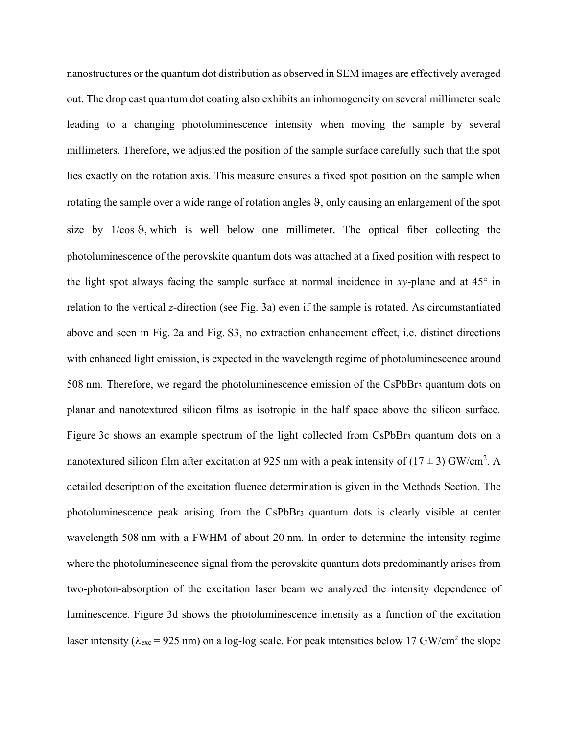nanostructures or the quantum dot distribution as observed in SEM images are effectively averaged out. The drop cast quantum dot coating also exhibits an inhomogeneity on several millimeter scale leading to a changing photoluminescence intensity when moving the sample by several millimeters. Therefore, we adjusted the position of the sample surface carefully such that the spot lies exactly on the rotation axis. This measure ensures a fixed spot position on the sample when rotating the sample over a wide range of rotation angles 9, only causing an enlargement of the spot size by  $1/\cos \theta$ , which is well below one millimeter. The optical fiber collecting the photoluminescence of the perovskite quantum dots was attached at a fixed position with respect to the light spot always facing the sample surface at normal incidence in *xy*-plane and at 45° in relation to the vertical *z*-direction (see Fig. 3a) even if the sample is rotated. As circumstantiated above and seen in Fig. 2a and Fig. S3, no extraction enhancement effect, i.e. distinct directions with enhanced light emission, is expected in the wavelength regime of photoluminescence around 508 nm. Therefore, we regard the photoluminescence emission of the CsPbBr<sup>3</sup> quantum dots on planar and nanotextured silicon films as isotropic in the half space above the silicon surface. Figure 3c shows an example spectrum of the light collected from CsPbBr<sub>3</sub> quantum dots on a nanotextured silicon film after excitation at 925 nm with a peak intensity of  $(17 \pm 3)$  GW/cm<sup>2</sup>. A detailed description of the excitation fluence determination is given in the Methods Section. The photoluminescence peak arising from the CsPbBr<sup>3</sup> quantum dots is clearly visible at center wavelength 508 nm with a FWHM of about 20 nm. In order to determine the intensity regime where the photoluminescence signal from the perovskite quantum dots predominantly arises from two-photon-absorption of the excitation laser beam we analyzed the intensity dependence of luminescence. Figure 3d shows the photoluminescence intensity as a function of the excitation laser intensity ( $\lambda_{\text{exc}}$  = 925 nm) on a log-log scale. For peak intensities below 17 GW/cm<sup>2</sup> the slope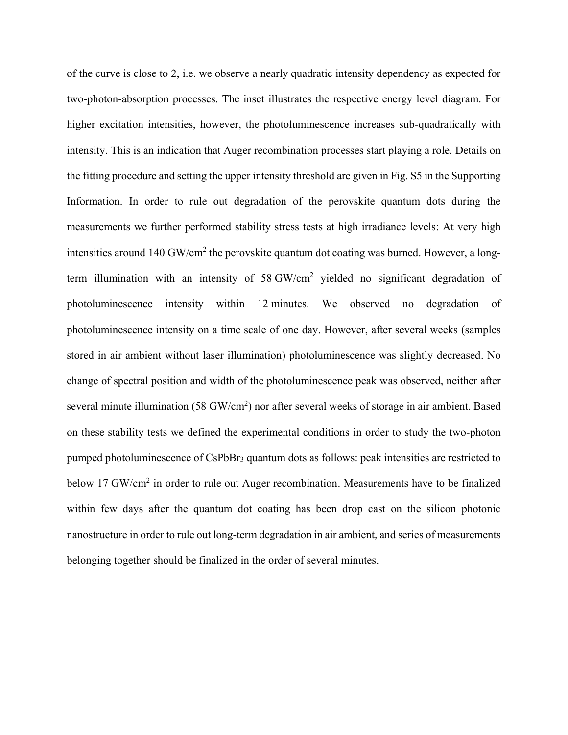of the curve is close to 2, i.e. we observe a nearly quadratic intensity dependency as expected for two-photon-absorption processes. The inset illustrates the respective energy level diagram. For higher excitation intensities, however, the photoluminescence increases sub-quadratically with intensity. This is an indication that Auger recombination processes start playing a role. Details on the fitting procedure and setting the upper intensity threshold are given in Fig. S5 in the Supporting Information. In order to rule out degradation of the perovskite quantum dots during the measurements we further performed stability stress tests at high irradiance levels: At very high intensities around 140 GW/cm<sup>2</sup> the perovskite quantum dot coating was burned. However, a longterm illumination with an intensity of 58 GW/cm<sup>2</sup> yielded no significant degradation of photoluminescence intensity within 12 minutes. We observed no degradation of photoluminescence intensity on a time scale of one day. However, after several weeks (samples stored in air ambient without laser illumination) photoluminescence was slightly decreased. No change of spectral position and width of the photoluminescence peak was observed, neither after several minute illumination (58 GW/cm<sup>2</sup>) nor after several weeks of storage in air ambient. Based on these stability tests we defined the experimental conditions in order to study the two-photon pumped photoluminescence of CsPbBr<sup>3</sup> quantum dots as follows: peak intensities are restricted to below 17 GW/cm<sup>2</sup> in order to rule out Auger recombination. Measurements have to be finalized within few days after the quantum dot coating has been drop cast on the silicon photonic nanostructure in order to rule out long-term degradation in air ambient, and series of measurements belonging together should be finalized in the order of several minutes.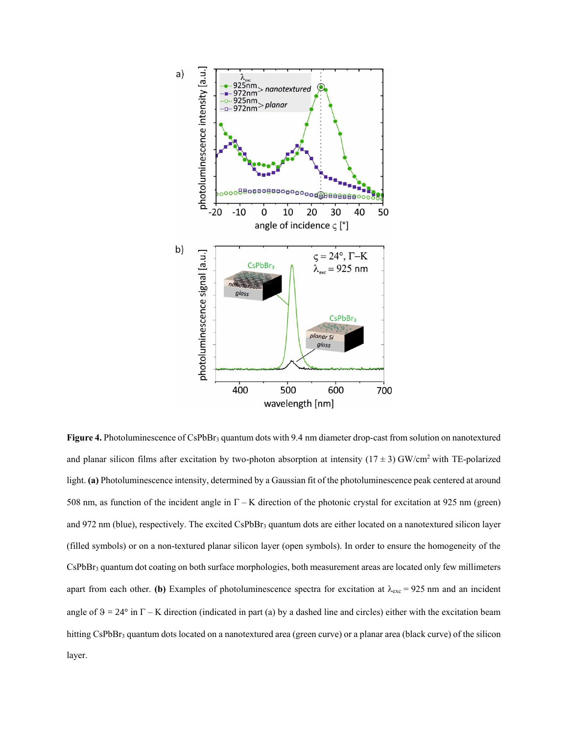

**Figure 4.** Photoluminescence of CsPbBr<sub>3</sub> quantum dots with 9.4 nm diameter drop-cast from solution on nanotextured and planar silicon films after excitation by two-photon absorption at intensity  $(17 \pm 3)$  GW/cm<sup>2</sup> with TE-polarized light. **(a)** Photoluminescence intensity, determined by a Gaussian fit of the photoluminescence peak centered at around 508 nm, as function of the incident angle in  $\Gamma - K$  direction of the photonic crystal for excitation at 925 nm (green) and 972 nm (blue), respectively. The excited CsPbBr<sub>3</sub> quantum dots are either located on a nanotextured silicon layer (filled symbols) or on a non-textured planar silicon layer (open symbols). In order to ensure the homogeneity of the CsPbBr<sub>3</sub> quantum dot coating on both surface morphologies, both measurement areas are located only few millimeters apart from each other. **(b)** Examples of photoluminescence spectra for excitation at  $\lambda_{\text{exc}} = 925$  nm and an incident angle of  $9 = 24^{\circ}$  in  $\Gamma$  – K direction (indicated in part (a) by a dashed line and circles) either with the excitation beam hitting CsPbBr<sub>3</sub> quantum dots located on a nanotextured area (green curve) or a planar area (black curve) of the silicon layer.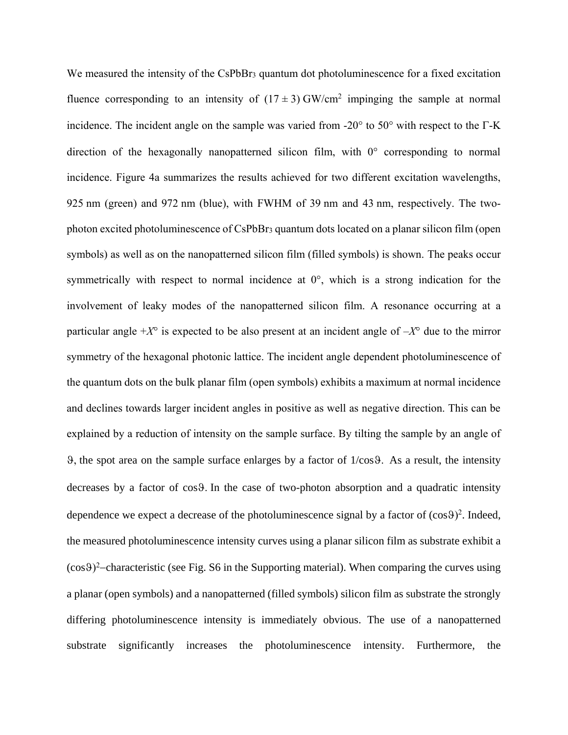We measured the intensity of the CsPbBr<sub>3</sub> quantum dot photoluminescence for a fixed excitation fluence corresponding to an intensity of  $(17 \pm 3)$  GW/cm<sup>2</sup> impinging the sample at normal incidence. The incident angle on the sample was varied from -20 $^{\circ}$  to 50 $^{\circ}$  with respect to the  $\Gamma$ -K direction of the hexagonally nanopatterned silicon film, with 0° corresponding to normal incidence. Figure 4a summarizes the results achieved for two different excitation wavelengths, 925 nm (green) and 972 nm (blue), with FWHM of 39 nm and 43 nm, respectively. The twophoton excited photoluminescence of CsPbBr<sup>3</sup> quantum dots located on a planar silicon film (open symbols) as well as on the nanopatterned silicon film (filled symbols) is shown. The peaks occur symmetrically with respect to normal incidence at 0°, which is a strong indication for the involvement of leaky modes of the nanopatterned silicon film. A resonance occurring at a particular angle  $+X^{\circ}$  is expected to be also present at an incident angle of  $-X^{\circ}$  due to the mirror symmetry of the hexagonal photonic lattice. The incident angle dependent photoluminescence of the quantum dots on the bulk planar film (open symbols) exhibits a maximum at normal incidence and declines towards larger incident angles in positive as well as negative direction. This can be explained by a reduction of intensity on the sample surface. By tilting the sample by an angle of  $\theta$ , the spot area on the sample surface enlarges by a factor of 1/cos $\theta$ . As a result, the intensity decreases by a factor of cos9. In the case of two-photon absorption and a quadratic intensity dependence we expect a decrease of the photoluminescence signal by a factor of  $(cos 9)<sup>2</sup>$ . Indeed, the measured photoluminescence intensity curves using a planar silicon film as substrate exhibit a  $(cos9)^2$ -characteristic (see Fig. S6 in the Supporting material). When comparing the curves using a planar (open symbols) and a nanopatterned (filled symbols) silicon film as substrate the strongly differing photoluminescence intensity is immediately obvious. The use of a nanopatterned substrate significantly increases the photoluminescence intensity. Furthermore, the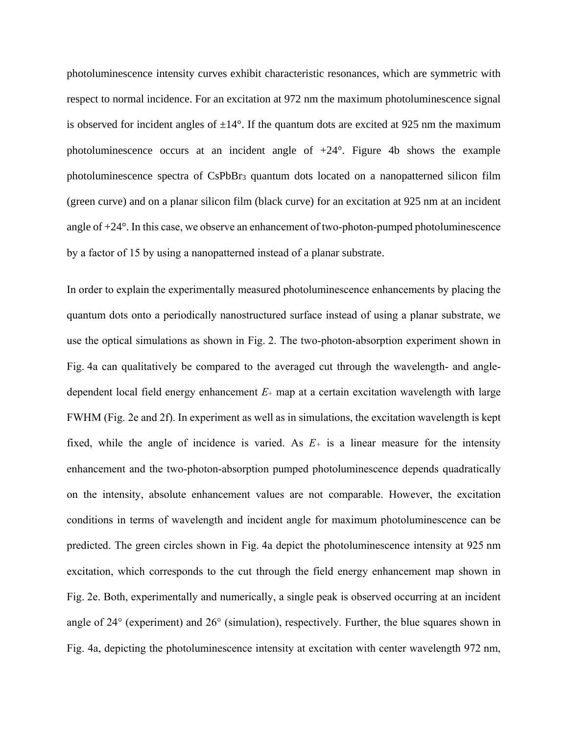photoluminescence intensity curves exhibit characteristic resonances, which are symmetric with respect to normal incidence. For an excitation at 972 nm the maximum photoluminescence signal is observed for incident angles of  $\pm 14^{\circ}$ . If the quantum dots are excited at 925 nm the maximum photoluminescence occurs at an incident angle of  $+24^{\circ}$ . Figure 4b shows the example photoluminescence spectra of CsPbBr<sup>3</sup> quantum dots located on a nanopatterned silicon film (green curve) and on a planar silicon film (black curve) for an excitation at 925 nm at an incident angle of +24°. In this case, we observe an enhancement of two-photon-pumped photoluminescence by a factor of 15 by using a nanopatterned instead of a planar substrate.

In order to explain the experimentally measured photoluminescence enhancements by placing the quantum dots onto a periodically nanostructured surface instead of using a planar substrate, we use the optical simulations as shown in Fig. 2. The two-photon-absorption experiment shown in Fig. 4a can qualitatively be compared to the averaged cut through the wavelength- and angledependent local field energy enhancement  $E_{+}$  map at a certain excitation wavelength with large FWHM (Fig. 2e and 2f). In experiment as well as in simulations, the excitation wavelength is kept fixed, while the angle of incidence is varied. As  $E_{+}$  is a linear measure for the intensity enhancement and the two-photon-absorption pumped photoluminescence depends quadratically on the intensity, absolute enhancement values are not comparable. However, the excitation conditions in terms of wavelength and incident angle for maximum photoluminescence can be predicted. The green circles shown in Fig. 4a depict the photoluminescence intensity at 925 nm excitation, which corresponds to the cut through the field energy enhancement map shown in Fig. 2e. Both, experimentally and numerically, a single peak is observed occurring at an incident angle of 24° (experiment) and 26° (simulation), respectively. Further, the blue squares shown in Fig. 4a, depicting the photoluminescence intensity at excitation with center wavelength 972 nm,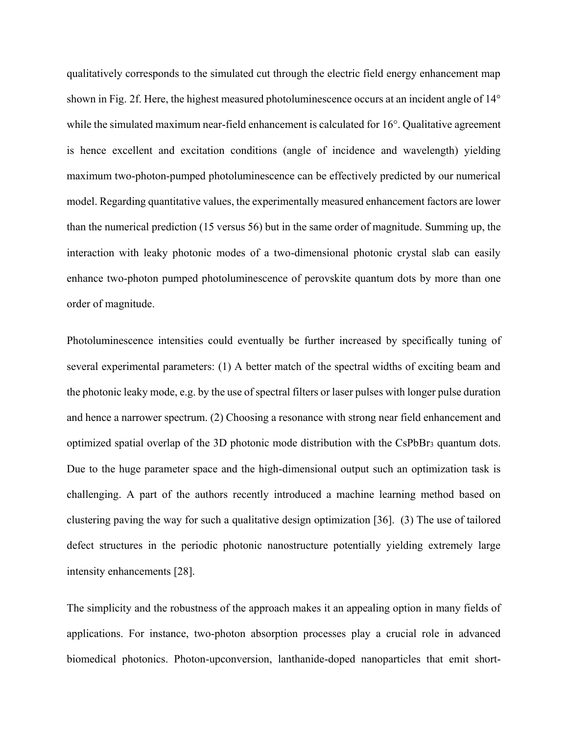qualitatively corresponds to the simulated cut through the electric field energy enhancement map shown in Fig. 2f. Here, the highest measured photoluminescence occurs at an incident angle of 14° while the simulated maximum near-field enhancement is calculated for 16°. Qualitative agreement is hence excellent and excitation conditions (angle of incidence and wavelength) yielding maximum two-photon-pumped photoluminescence can be effectively predicted by our numerical model. Regarding quantitative values, the experimentally measured enhancement factors are lower than the numerical prediction (15 versus 56) but in the same order of magnitude. Summing up, the interaction with leaky photonic modes of a two-dimensional photonic crystal slab can easily enhance two-photon pumped photoluminescence of perovskite quantum dots by more than one order of magnitude.

Photoluminescence intensities could eventually be further increased by specifically tuning of several experimental parameters: (1) A better match of the spectral widths of exciting beam and the photonic leaky mode, e.g. by the use of spectral filters or laser pulses with longer pulse duration and hence a narrower spectrum. (2) Choosing a resonance with strong near field enhancement and optimized spatial overlap of the 3D photonic mode distribution with the CsPbBr<sup>3</sup> quantum dots. Due to the huge parameter space and the high-dimensional output such an optimization task is challenging. A part of the authors recently introduced a machine learning method based on clustering paving the way for such a qualitative design optimization [36]. (3) The use of tailored defect structures in the periodic photonic nanostructure potentially yielding extremely large intensity enhancements [28].

The simplicity and the robustness of the approach makes it an appealing option in many fields of applications. For instance, two-photon absorption processes play a crucial role in advanced biomedical photonics. Photon-upconversion, lanthanide-doped nanoparticles that emit short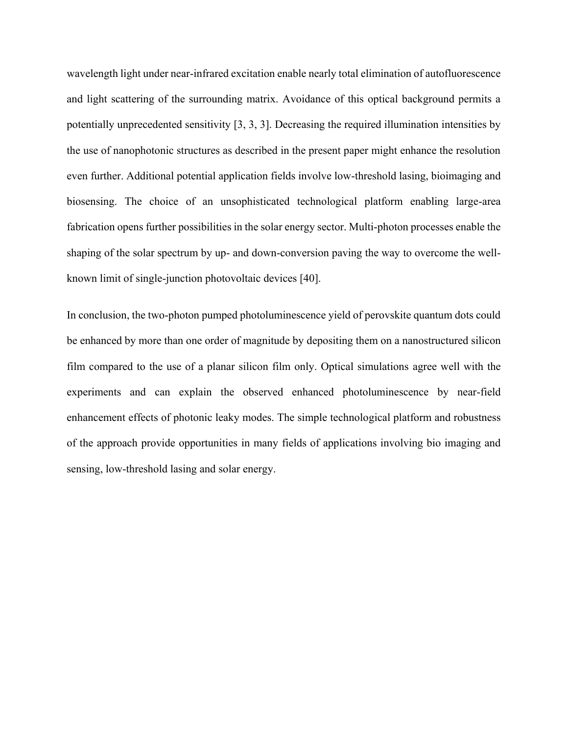wavelength light under near-infrared excitation enable nearly total elimination of autofluorescence and light scattering of the surrounding matrix. Avoidance of this optical background permits a potentially unprecedented sensitivity [3, 3, 3]. Decreasing the required illumination intensities by the use of nanophotonic structures as described in the present paper might enhance the resolution even further. Additional potential application fields involve low-threshold lasing, bioimaging and biosensing. The choice of an unsophisticated technological platform enabling large-area fabrication opens further possibilities in the solar energy sector. Multi-photon processes enable the shaping of the solar spectrum by up- and down-conversion paving the way to overcome the wellknown limit of single-junction photovoltaic devices [40].

In conclusion, the two-photon pumped photoluminescence yield of perovskite quantum dots could be enhanced by more than one order of magnitude by depositing them on a nanostructured silicon film compared to the use of a planar silicon film only. Optical simulations agree well with the experiments and can explain the observed enhanced photoluminescence by near-field enhancement effects of photonic leaky modes. The simple technological platform and robustness of the approach provide opportunities in many fields of applications involving bio imaging and sensing, low-threshold lasing and solar energy.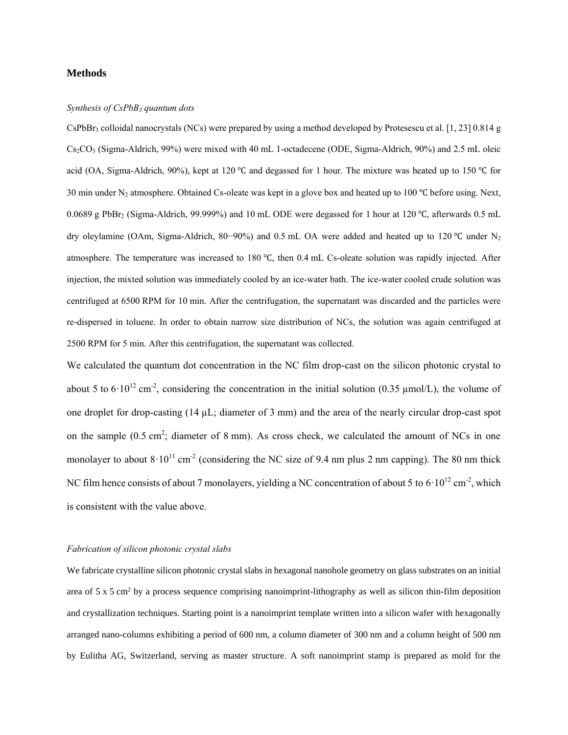#### **Methods**

#### *Synthesis of CsPbB<sup>3</sup> quantum dots*

CsPbBr<sub>3</sub> colloidal nanocrystals (NCs) were prepared by using a method developed by Protesescu et al. [1, 23] 0.814 g Cs2CO<sup>3</sup> (Sigma-Aldrich, 99%) were mixed with 40 mL 1-octadecene (ODE, Sigma-Aldrich, 90%) and 2.5 mL oleic acid (OA, Sigma-Aldrich, 90%), kept at 120 ℃ and degassed for 1 hour. The mixture was heated up to 150 ℃ for 30 min under N<sup>2</sup> atmosphere. Obtained Cs-oleate was kept in a glove box and heated up to 100 ℃ before using. Next, 0.0689 g PbBr<sup>2</sup> (Sigma-Aldrich, 99.999%) and 10 mL ODE were degassed for 1 hour at 120 ℃, afterwards 0.5 mL dry oleylamine (OAm, Sigma-Aldrich, 80−90%) and 0.5 mL OA were added and heated up to 120 ℃ under N<sup>2</sup> atmosphere. The temperature was increased to 180 ℃, then 0.4 mL Cs-oleate solution was rapidly injected. After injection, the mixted solution was immediately cooled by an ice-water bath. The ice-water cooled crude solution was centrifuged at 6500 RPM for 10 min. After the centrifugation, the supernatant was discarded and the particles were re-dispersed in toluene. In order to obtain narrow size distribution of NCs, the solution was again centrifuged at 2500 RPM for 5 min. After this centrifugation, the supernatant was collected.

We calculated the quantum dot concentration in the NC film drop-cast on the silicon photonic crystal to about 5 to  $6 \cdot 10^{12}$  cm<sup>-2</sup>, considering the concentration in the initial solution (0.35 µmol/L), the volume of one droplet for drop-casting (14 µL; diameter of 3 mm) and the area of the nearly circular drop-cast spot on the sample  $(0.5 \text{ cm}^2)$ ; diameter of 8 mm). As cross check, we calculated the amount of NCs in one monolayer to about  $8 \cdot 10^{11}$  cm<sup>-2</sup> (considering the NC size of 9.4 nm plus 2 nm capping). The 80 nm thick NC film hence consists of about 7 monolayers, yielding a NC concentration of about 5 to  $6 \cdot 10^{12}$  cm<sup>-2</sup>, which is consistent with the value above.

#### *Fabrication of silicon photonic crystal slabs*

We fabricate crystalline silicon photonic crystal slabs in hexagonal nanohole geometry on glass substrates on an initial area of 5 x 5 cm<sup>2</sup> by a process sequence comprising nanoimprint-lithography as well as silicon thin-film deposition and crystallization techniques. Starting point is a nanoimprint template written into a silicon wafer with hexagonally arranged nano-columns exhibiting a period of 600 nm, a column diameter of 300 nm and a column height of 500 nm by Eulitha AG, Switzerland, serving as master structure. A soft nanoimprint stamp is prepared as mold for the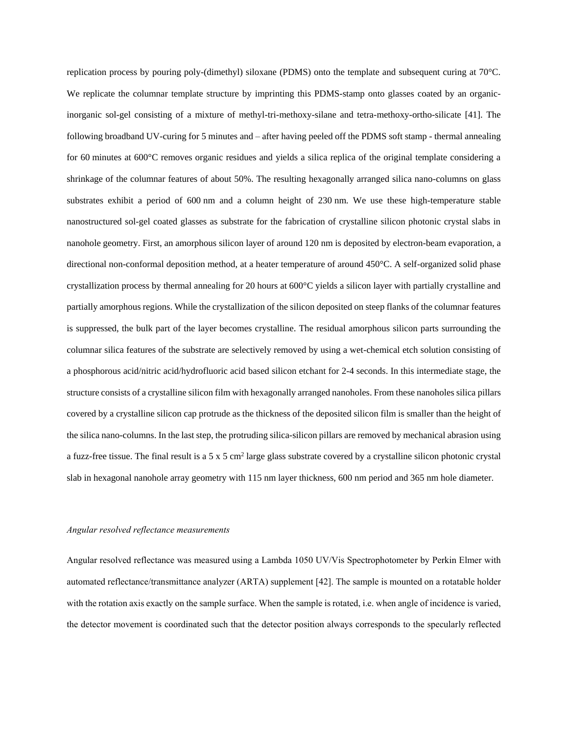replication process by pouring poly-(dimethyl) siloxane (PDMS) onto the template and subsequent curing at 70°C. We replicate the columnar template structure by imprinting this PDMS-stamp onto glasses coated by an organicinorganic sol-gel consisting of a mixture of methyl-tri-methoxy-silane and tetra-methoxy-ortho-silicate [41]. The following broadband UV-curing for 5 minutes and – after having peeled off the PDMS soft stamp - thermal annealing for 60 minutes at 600°C removes organic residues and yields a silica replica of the original template considering a shrinkage of the columnar features of about 50%. The resulting hexagonally arranged silica nano-columns on glass substrates exhibit a period of 600 nm and a column height of 230 nm. We use these high-temperature stable nanostructured sol-gel coated glasses as substrate for the fabrication of crystalline silicon photonic crystal slabs in nanohole geometry. First, an amorphous silicon layer of around 120 nm is deposited by electron-beam evaporation, a directional non-conformal deposition method, at a heater temperature of around 450°C. A self-organized solid phase crystallization process by thermal annealing for 20 hours at 600°C yields a silicon layer with partially crystalline and partially amorphous regions. While the crystallization of the silicon deposited on steep flanks of the columnar features is suppressed, the bulk part of the layer becomes crystalline. The residual amorphous silicon parts surrounding the columnar silica features of the substrate are selectively removed by using a wet-chemical etch solution consisting of a phosphorous acid/nitric acid/hydrofluoric acid based silicon etchant for 2-4 seconds. In this intermediate stage, the structure consists of a crystalline silicon film with hexagonally arranged nanoholes. From these nanoholes silica pillars covered by a crystalline silicon cap protrude as the thickness of the deposited silicon film is smaller than the height of the silica nano-columns. In the last step, the protruding silica-silicon pillars are removed by mechanical abrasion using a fuzz-free tissue. The final result is a  $5 \times 5$  cm<sup>2</sup> large glass substrate covered by a crystalline silicon photonic crystal slab in hexagonal nanohole array geometry with 115 nm layer thickness, 600 nm period and 365 nm hole diameter.

#### *Angular resolved reflectance measurements*

Angular resolved reflectance was measured using a Lambda 1050 UV/Vis Spectrophotometer by Perkin Elmer with automated reflectance/transmittance analyzer (ARTA) supplement [42]. The sample is mounted on a rotatable holder with the rotation axis exactly on the sample surface. When the sample is rotated, i.e. when angle of incidence is varied, the detector movement is coordinated such that the detector position always corresponds to the specularly reflected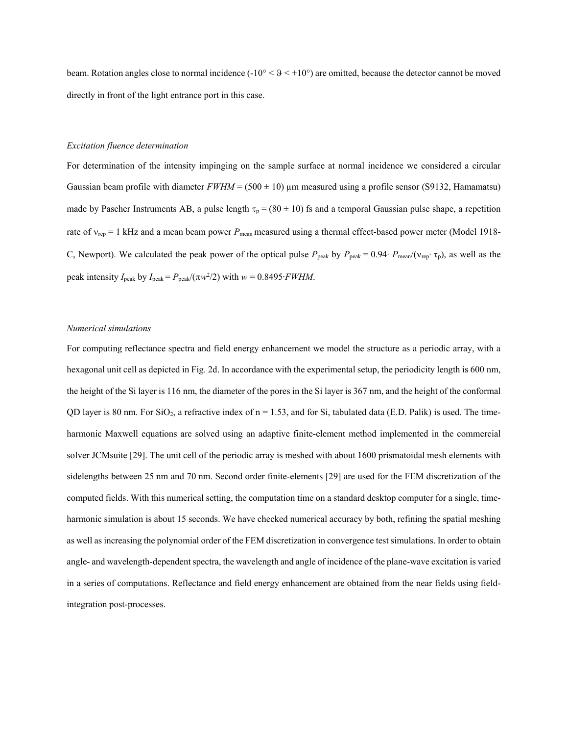beam. Rotation angles close to normal incidence  $(-10^{\circ}  $9 < +10^{\circ})$  are omitted, because the detector cannot be moved$ directly in front of the light entrance port in this case.

#### *Excitation fluence determination*

For determination of the intensity impinging on the sample surface at normal incidence we considered a circular Gaussian beam profile with diameter  $FWHM = (500 \pm 10)$   $\mu$ m measured using a profile sensor (S9132, Hamamatsu) made by Pascher Instruments AB, a pulse length  $\tau_p = (80 \pm 10)$  fs and a temporal Gaussian pulse shape, a repetition rate of  $v_{\text{rep}} = 1$  kHz and a mean beam power  $P_{\text{mean}}$  measured using a thermal effect-based power meter (Model 1918-C, Newport). We calculated the peak power of the optical pulse  $P_{\text{peak}}$  by  $P_{\text{peak}} = 0.94 \cdot P_{\text{mean}}/(\nu_{\text{rep}} \cdot \tau_{\text{p}})$ , as well as the peak intensity  $I_{\text{peak}}$  by  $I_{\text{peak}} = P_{\text{peak}}/(\pi w^2/2)$  with  $w = 0.8495 \cdot FWHM$ .

#### *Numerical simulations*

For computing reflectance spectra and field energy enhancement we model the structure as a periodic array, with a hexagonal unit cell as depicted in Fig. 2d. In accordance with the experimental setup, the periodicity length is 600 nm, the height of the Si layer is 116 nm, the diameter of the pores in the Si layer is 367 nm, and the height of the conformal QD layer is 80 nm. For  $SiO<sub>2</sub>$ , a refractive index of  $n = 1.53$ , and for Si, tabulated data (E.D. Palik) is used. The timeharmonic Maxwell equations are solved using an adaptive finite-element method implemented in the commercial solver JCMsuite [29]. The unit cell of the periodic array is meshed with about 1600 prismatoidal mesh elements with sidelengths between 25 nm and 70 nm. Second order finite-elements [29] are used for the FEM discretization of the computed fields. With this numerical setting, the computation time on a standard desktop computer for a single, timeharmonic simulation is about 15 seconds. We have checked numerical accuracy by both, refining the spatial meshing as well as increasing the polynomial order of the FEM discretization in convergence test simulations. In order to obtain angle- and wavelength-dependent spectra, the wavelength and angle of incidence of the plane-wave excitation is varied in a series of computations. Reflectance and field energy enhancement are obtained from the near fields using fieldintegration post-processes.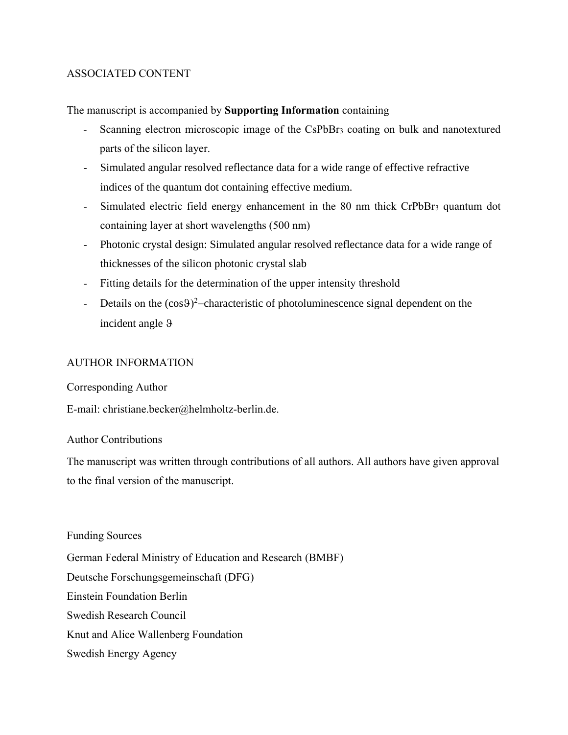# ASSOCIATED CONTENT

The manuscript is accompanied by **Supporting Information** containing

- Scanning electron microscopic image of the CsPbBr<sub>3</sub> coating on bulk and nanotextured parts of the silicon layer.
- Simulated angular resolved reflectance data for a wide range of effective refractive indices of the quantum dot containing effective medium.
- Simulated electric field energy enhancement in the 80 nm thick CrPbBr<sup>3</sup> quantum dot containing layer at short wavelengths (500 nm)
- Photonic crystal design: Simulated angular resolved reflectance data for a wide range of thicknesses of the silicon photonic crystal slab
- Fitting details for the determination of the upper intensity threshold
- Details on the  $(cos 9)<sup>2</sup>$ -characteristic of photoluminescence signal dependent on the incident angle

# AUTHOR INFORMATION

Corresponding Author

E-mail: christiane.becker@helmholtz-berlin.de.

## Author Contributions

The manuscript was written through contributions of all authors. All authors have given approval to the final version of the manuscript.

Funding Sources German Federal Ministry of Education and Research (BMBF) Deutsche Forschungsgemeinschaft (DFG) Einstein Foundation Berlin Swedish Research Council Knut and Alice Wallenberg Foundation Swedish Energy Agency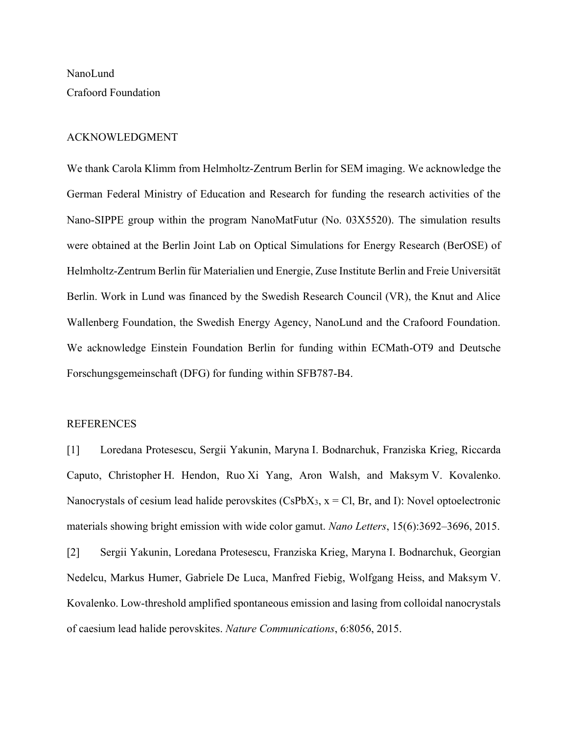NanoLund Crafoord Foundation

## ACKNOWLEDGMENT

We thank Carola Klimm from Helmholtz-Zentrum Berlin for SEM imaging. We acknowledge the German Federal Ministry of Education and Research for funding the research activities of the Nano-SIPPE group within the program NanoMatFutur (No. 03X5520). The simulation results were obtained at the Berlin Joint Lab on Optical Simulations for Energy Research (BerOSE) of Helmholtz-Zentrum Berlin für Materialien und Energie, Zuse Institute Berlin and Freie Universität Berlin. Work in Lund was financed by the Swedish Research Council (VR), the Knut and Alice Wallenberg Foundation, the Swedish Energy Agency, NanoLund and the Crafoord Foundation. We acknowledge Einstein Foundation Berlin for funding within ECMath-OT9 and Deutsche Forschungsgemeinschaft (DFG) for funding within SFB787-B4.

### REFERENCES

[1] Loredana Protesescu, Sergii Yakunin, Maryna I. Bodnarchuk, Franziska Krieg, Riccarda Caputo, Christopher H. Hendon, Ruo Xi Yang, Aron Walsh, and Maksym V. Kovalenko. Nanocrystals of cesium lead halide perovskites  $(CsPbX<sub>3</sub>, x = Cl, Br, and I)$ : Novel optoelectronic materials showing bright emission with wide color gamut. *Nano Letters*, 15(6):3692–3696, 2015.

[2] Sergii Yakunin, Loredana Protesescu, Franziska Krieg, Maryna I. Bodnarchuk, Georgian Nedelcu, Markus Humer, Gabriele De Luca, Manfred Fiebig, Wolfgang Heiss, and Maksym V. Kovalenko. Low-threshold amplified spontaneous emission and lasing from colloidal nanocrystals of caesium lead halide perovskites. *Nature Communications*, 6:8056, 2015.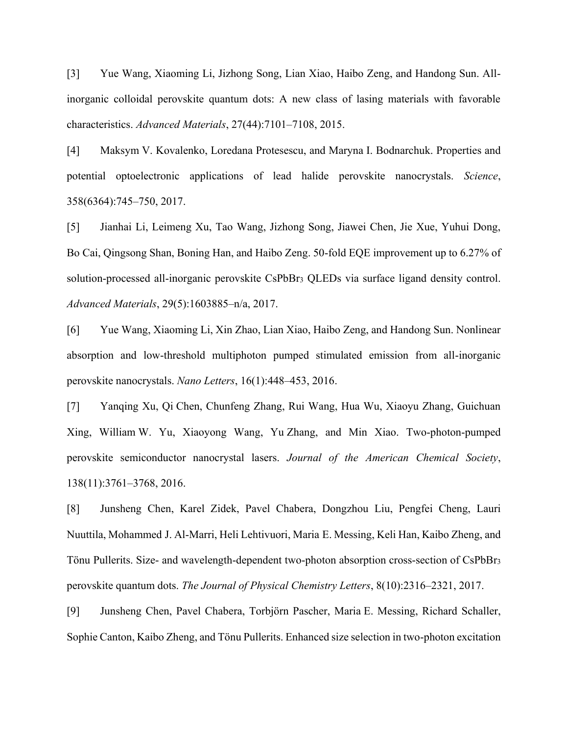[3] Yue Wang, Xiaoming Li, Jizhong Song, Lian Xiao, Haibo Zeng, and Handong Sun. Allinorganic colloidal perovskite quantum dots: A new class of lasing materials with favorable characteristics. *Advanced Materials*, 27(44):7101–7108, 2015.

[4] Maksym V. Kovalenko, Loredana Protesescu, and Maryna I. Bodnarchuk. Properties and potential optoelectronic applications of lead halide perovskite nanocrystals. *Science*, 358(6364):745–750, 2017.

[5] Jianhai Li, Leimeng Xu, Tao Wang, Jizhong Song, Jiawei Chen, Jie Xue, Yuhui Dong, Bo Cai, Qingsong Shan, Boning Han, and Haibo Zeng. 50-fold EQE improvement up to 6.27% of solution-processed all-inorganic perovskite CsPbBr<sub>3</sub> QLEDs via surface ligand density control. *Advanced Materials*, 29(5):1603885–n/a, 2017.

[6] Yue Wang, Xiaoming Li, Xin Zhao, Lian Xiao, Haibo Zeng, and Handong Sun. Nonlinear absorption and low-threshold multiphoton pumped stimulated emission from all-inorganic perovskite nanocrystals. *Nano Letters*, 16(1):448–453, 2016.

[7] Yanqing Xu, Qi Chen, Chunfeng Zhang, Rui Wang, Hua Wu, Xiaoyu Zhang, Guichuan Xing, William W. Yu, Xiaoyong Wang, Yu Zhang, and Min Xiao. Two-photon-pumped perovskite semiconductor nanocrystal lasers. *Journal of the American Chemical Society*, 138(11):3761–3768, 2016.

[8] Junsheng Chen, Karel Zidek, Pavel Chabera, Dongzhou Liu, Pengfei Cheng, Lauri Nuuttila, Mohammed J. Al-Marri, Heli Lehtivuori, Maria E. Messing, Keli Han, Kaibo Zheng, and Tönu Pullerits. Size- and wavelength-dependent two-photon absorption cross-section of CsPbBr<sup>3</sup> perovskite quantum dots. *The Journal of Physical Chemistry Letters*, 8(10):2316–2321, 2017.

[9] Junsheng Chen, Pavel Chabera, Torbjörn Pascher, Maria E. Messing, Richard Schaller, Sophie Canton, Kaibo Zheng, and Tönu Pullerits. Enhanced size selection in two-photon excitation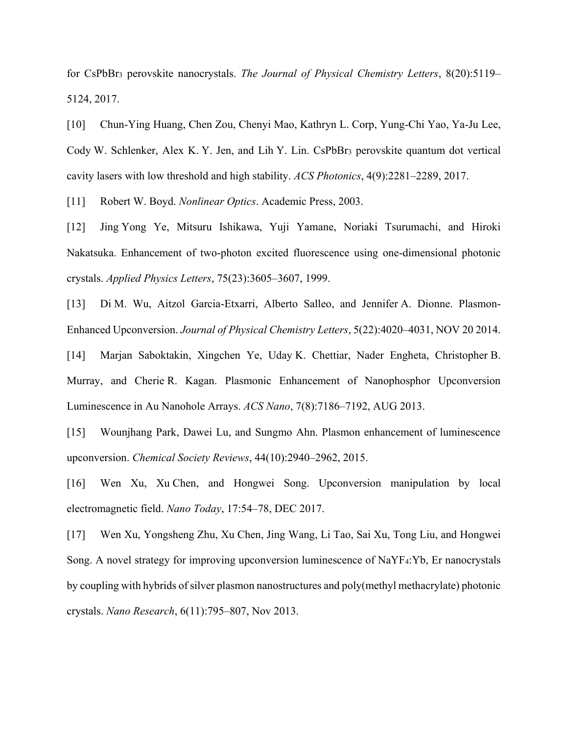for CsPbBr<sup>3</sup> perovskite nanocrystals. *The Journal of Physical Chemistry Letters*, 8(20):5119– 5124, 2017.

[10] Chun-Ying Huang, Chen Zou, Chenyi Mao, Kathryn L. Corp, Yung-Chi Yao, Ya-Ju Lee, Cody W. Schlenker, Alex K. Y. Jen, and Lih Y. Lin. CsPbBr<sub>3</sub> perovskite quantum dot vertical cavity lasers with low threshold and high stability. *ACS Photonics*, 4(9):2281–2289, 2017.

[11] Robert W. Boyd. *Nonlinear Optics*. Academic Press, 2003.

[12] Jing Yong Ye, Mitsuru Ishikawa, Yuji Yamane, Noriaki Tsurumachi, and Hiroki Nakatsuka. Enhancement of two-photon excited fluorescence using one-dimensional photonic crystals. *Applied Physics Letters*, 75(23):3605–3607, 1999.

[13] Di M. Wu, Aitzol Garcia-Etxarri, Alberto Salleo, and Jennifer A. Dionne. Plasmon-Enhanced Upconversion. *Journal of Physical Chemistry Letters*, 5(22):4020–4031, NOV 20 2014.

[14] Marjan Saboktakin, Xingchen Ye, Uday K. Chettiar, Nader Engheta, Christopher B. Murray, and Cherie R. Kagan. Plasmonic Enhancement of Nanophosphor Upconversion Luminescence in Au Nanohole Arrays. *ACS Nano*, 7(8):7186–7192, AUG 2013.

[15] Wounjhang Park, Dawei Lu, and Sungmo Ahn. Plasmon enhancement of luminescence upconversion. *Chemical Society Reviews*, 44(10):2940–2962, 2015.

[16] Wen Xu, Xu Chen, and Hongwei Song. Upconversion manipulation by local electromagnetic field. *Nano Today*, 17:54–78, DEC 2017.

[17] Wen Xu, Yongsheng Zhu, Xu Chen, Jing Wang, Li Tao, Sai Xu, Tong Liu, and Hongwei Song. A novel strategy for improving upconversion luminescence of NaYF4:Yb, Er nanocrystals by coupling with hybrids of silver plasmon nanostructures and poly(methyl methacrylate) photonic crystals. *Nano Research*, 6(11):795–807, Nov 2013.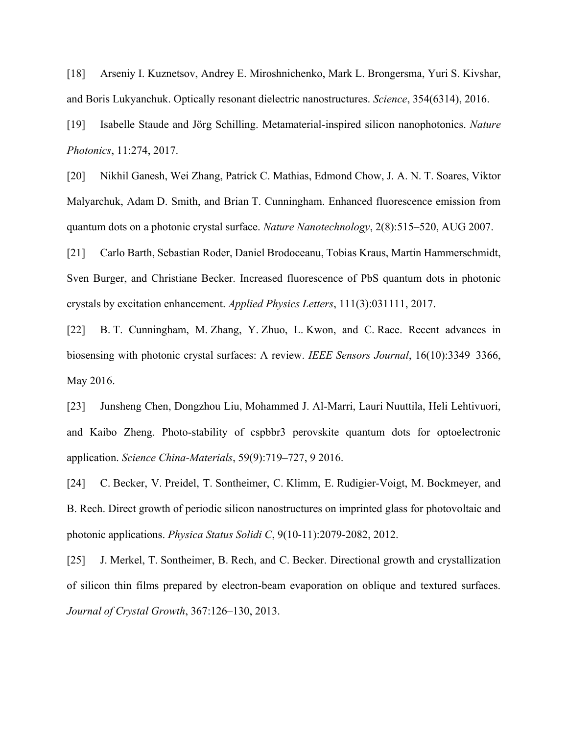[18] Arseniy I. Kuznetsov, Andrey E. Miroshnichenko, Mark L. Brongersma, Yuri S. Kivshar, and Boris Lukyanchuk. Optically resonant dielectric nanostructures. *Science*, 354(6314), 2016.

[19] Isabelle Staude and Jörg Schilling. Metamaterial-inspired silicon nanophotonics. *Nature Photonics*, 11:274, 2017.

[20] Nikhil Ganesh, Wei Zhang, Patrick C. Mathias, Edmond Chow, J. A. N. T. Soares, Viktor Malyarchuk, Adam D. Smith, and Brian T. Cunningham. Enhanced fluorescence emission from quantum dots on a photonic crystal surface. *Nature Nanotechnology*, 2(8):515–520, AUG 2007.

[21] Carlo Barth, Sebastian Roder, Daniel Brodoceanu, Tobias Kraus, Martin Hammerschmidt, Sven Burger, and Christiane Becker. Increased fluorescence of PbS quantum dots in photonic crystals by excitation enhancement. *Applied Physics Letters*, 111(3):031111, 2017.

[22] B. T. Cunningham, M. Zhang, Y. Zhuo, L. Kwon, and C. Race. Recent advances in biosensing with photonic crystal surfaces: A review. *IEEE Sensors Journal*, 16(10):3349–3366, May 2016.

[23] Junsheng Chen, Dongzhou Liu, Mohammed J. Al-Marri, Lauri Nuuttila, Heli Lehtivuori, and Kaibo Zheng. Photo-stability of cspbbr3 perovskite quantum dots for optoelectronic application. *Science China-Materials*, 59(9):719–727, 9 2016.

[24] C. Becker, V. Preidel, T. Sontheimer, C. Klimm, E. Rudigier-Voigt, M. Bockmeyer, and B. Rech. Direct growth of periodic silicon nanostructures on imprinted glass for photovoltaic and photonic applications. *Physica Status Solidi C*, 9(10-11):2079-2082, 2012.

[25] J. Merkel, T. Sontheimer, B. Rech, and C. Becker. Directional growth and crystallization of silicon thin films prepared by electron-beam evaporation on oblique and textured surfaces. *Journal of Crystal Growth*, 367:126–130, 2013.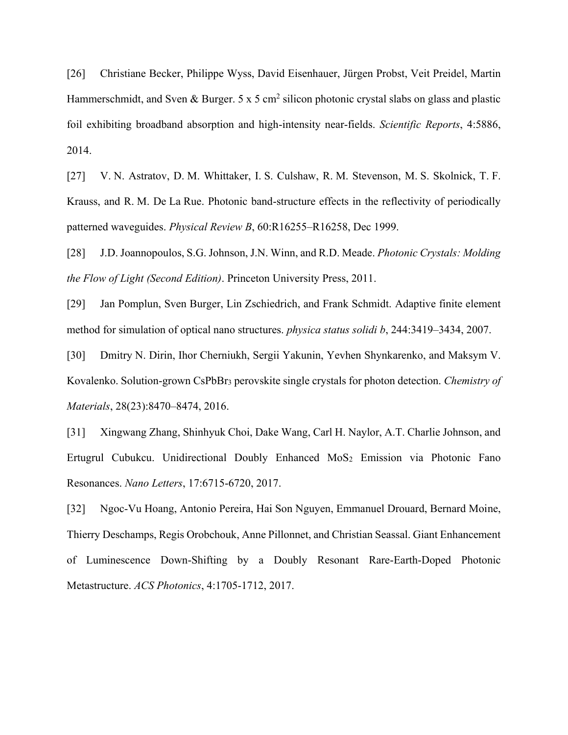[26] Christiane Becker, Philippe Wyss, David Eisenhauer, Jürgen Probst, Veit Preidel, Martin Hammerschmidt, and Sven & Burger. 5 x 5 cm<sup>2</sup> silicon photonic crystal slabs on glass and plastic foil exhibiting broadband absorption and high-intensity near-fields. *Scientific Reports*, 4:5886, 2014.

[27] V. N. Astratov, D. M. Whittaker, I. S. Culshaw, R. M. Stevenson, M. S. Skolnick, T. F. Krauss, and R. M. De La Rue. Photonic band-structure effects in the reflectivity of periodically patterned waveguides. *Physical Review B*, 60:R16255–R16258, Dec 1999.

[28] J.D. Joannopoulos, S.G. Johnson, J.N. Winn, and R.D. Meade. *Photonic Crystals: Molding the Flow of Light (Second Edition)*. Princeton University Press, 2011.

[29] Jan Pomplun, Sven Burger, Lin Zschiedrich, and Frank Schmidt. Adaptive finite element method for simulation of optical nano structures. *physica status solidi b*, 244:3419–3434, 2007.

[30] Dmitry N. Dirin, Ihor Cherniukh, Sergii Yakunin, Yevhen Shynkarenko, and Maksym V. Kovalenko. Solution-grown CsPbBr<sup>3</sup> perovskite single crystals for photon detection. *Chemistry of Materials*, 28(23):8470–8474, 2016.

[31] Xingwang Zhang, Shinhyuk Choi, Dake Wang, Carl H. Naylor, A.T. Charlie Johnson, and Ertugrul Cubukcu. Unidirectional Doubly Enhanced MoS<sub>2</sub> Emission via Photonic Fano Resonances. *Nano Letters*, 17:6715-6720, 2017.

[32] Ngoc-Vu Hoang, Antonio Pereira, Hai Son Nguyen, Emmanuel Drouard, Bernard Moine, Thierry Deschamps, Regis Orobchouk, Anne Pillonnet, and Christian Seassal. Giant Enhancement of Luminescence Down-Shifting by a Doubly Resonant Rare-Earth-Doped Photonic Metastructure. *ACS Photonics*, 4:1705-1712, 2017.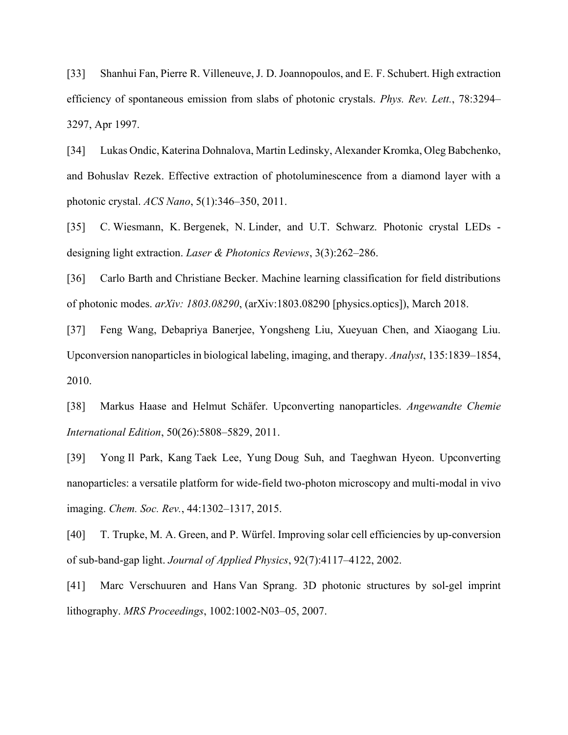[33] Shanhui Fan, Pierre R. Villeneuve, J. D. Joannopoulos, and E. F. Schubert. High extraction efficiency of spontaneous emission from slabs of photonic crystals. *Phys. Rev. Lett.*, 78:3294– 3297, Apr 1997.

[34] Lukas Ondic, Katerina Dohnalova, Martin Ledinsky, Alexander Kromka, Oleg Babchenko, and Bohuslav Rezek. Effective extraction of photoluminescence from a diamond layer with a photonic crystal. *ACS Nano*, 5(1):346–350, 2011.

[35] C. Wiesmann, K. Bergenek, N. Linder, and U.T. Schwarz. Photonic crystal LEDs designing light extraction. *Laser & Photonics Reviews*, 3(3):262–286.

[36] Carlo Barth and Christiane Becker. Machine learning classification for field distributions of photonic modes. *arXiv: 1803.08290*, (arXiv:1803.08290 [physics.optics]), March 2018.

[37] Feng Wang, Debapriya Banerjee, Yongsheng Liu, Xueyuan Chen, and Xiaogang Liu. Upconversion nanoparticles in biological labeling, imaging, and therapy. *Analyst*, 135:1839–1854, 2010.

[38] Markus Haase and Helmut Schäfer. Upconverting nanoparticles. *Angewandte Chemie International Edition*, 50(26):5808–5829, 2011.

[39] Yong Il Park, Kang Taek Lee, Yung Doug Suh, and Taeghwan Hyeon. Upconverting nanoparticles: a versatile platform for wide-field two-photon microscopy and multi-modal in vivo imaging. *Chem. Soc. Rev.*, 44:1302–1317, 2015.

[40] T. Trupke, M. A. Green, and P. Würfel. Improving solar cell efficiencies by up-conversion of sub-band-gap light. *Journal of Applied Physics*, 92(7):4117–4122, 2002.

[41] Marc Verschuuren and Hans Van Sprang. 3D photonic structures by sol-gel imprint lithography. *MRS Proceedings*, 1002:1002-N03–05, 2007.